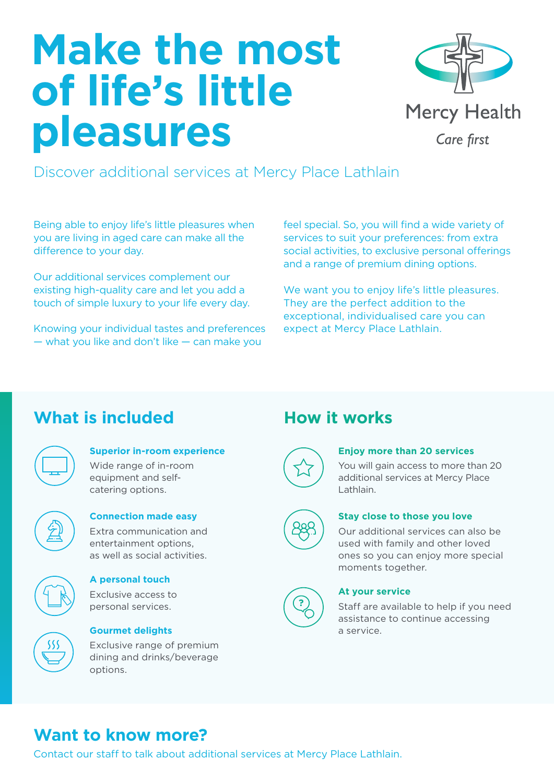# **Make the most of life's little pleasures**



Discover additional services at Mercy Place Lathlain

Being able to enjoy life's little pleasures when you are living in aged care can make all the difference to your day.

Our additional services complement our existing high-quality care and let you add a touch of simple luxury to your life every day.

Knowing your individual tastes and preferences — what you like and don't like — can make you

feel special. So, you will find a wide variety of services to suit your preferences: from extra social activities, to exclusive personal offerings and a range of premium dining options.

We want you to enjoy life's little pleasures. They are the perfect addition to the exceptional, individualised care you can expect at Mercy Place Lathlain.

## **What is included How it works**

| г |  |
|---|--|
|   |  |

## **Superior in-room experience**

Wide range of in-room equipment and selfcatering options.



#### **Connection made easy** Extra communication and

entertainment options, as well as social activities.



## **A personal touch**

Exclusive access to personal services.



## **Gourmet delights**

Exclusive range of premium dining and drinks/beverage options.



#### **Enjoy more than 20 services**

You will gain access to more than 20 additional services at Mercy Place Lathlain.



#### **Stay close to those you love**

Our additional services can also be used with family and other loved ones so you can enjoy more special moments together.



#### **At your service**

Staff are available to help if you need assistance to continue accessing a service.

## **Want to know more?**

Contact our staff to talk about additional services at Mercy Place Lathlain.